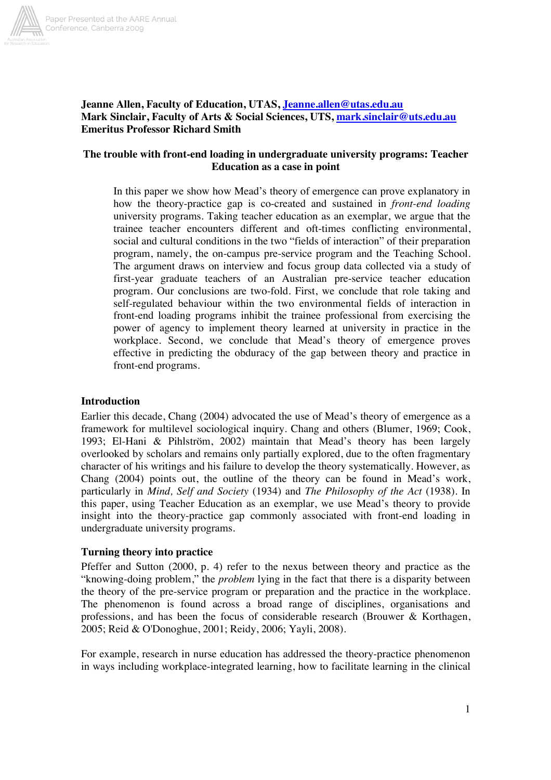

## **Jeanne Allen, Faculty of Education, UTAS, Jeanne.allen@utas.edu.au Mark Sinclair, Faculty of Arts & Social Sciences, UTS, mark.sinclair@uts.edu.au Emeritus Professor Richard Smith**

## **The trouble with front-end loading in undergraduate university programs: Teacher Education as a case in point**

In this paper we show how Mead's theory of emergence can prove explanatory in how the theory-practice gap is co-created and sustained in *front-end loading* university programs. Taking teacher education as an exemplar, we argue that the trainee teacher encounters different and oft-times conflicting environmental, social and cultural conditions in the two "fields of interaction" of their preparation program, namely, the on-campus pre-service program and the Teaching School. The argument draws on interview and focus group data collected via a study of first-year graduate teachers of an Australian pre-service teacher education program. Our conclusions are two-fold. First, we conclude that role taking and self-regulated behaviour within the two environmental fields of interaction in front-end loading programs inhibit the trainee professional from exercising the power of agency to implement theory learned at university in practice in the workplace. Second, we conclude that Mead's theory of emergence proves effective in predicting the obduracy of the gap between theory and practice in front-end programs.

## **Introduction**

Earlier this decade, Chang (2004) advocated the use of Mead's theory of emergence as a framework for multilevel sociological inquiry. Chang and others (Blumer, 1969; Cook, 1993; El-Hani & Pihlström, 2002) maintain that Mead's theory has been largely overlooked by scholars and remains only partially explored, due to the often fragmentary character of his writings and his failure to develop the theory systematically. However, as Chang (2004) points out, the outline of the theory can be found in Mead's work, particularly in *Mind, Self and Society* (1934) and *The Philosophy of the Act* (1938). In this paper, using Teacher Education as an exemplar, we use Mead's theory to provide insight into the theory-practice gap commonly associated with front-end loading in undergraduate university programs.

## **Turning theory into practice**

Pfeffer and Sutton (2000, p. 4) refer to the nexus between theory and practice as the "knowing-doing problem," the *problem* lying in the fact that there is a disparity between the theory of the pre-service program or preparation and the practice in the workplace. The phenomenon is found across a broad range of disciplines, organisations and professions, and has been the focus of considerable research (Brouwer & Korthagen, 2005; Reid & O'Donoghue, 2001; Reidy, 2006; Yayli, 2008).

For example, research in nurse education has addressed the theory-practice phenomenon in ways including workplace-integrated learning, how to facilitate learning in the clinical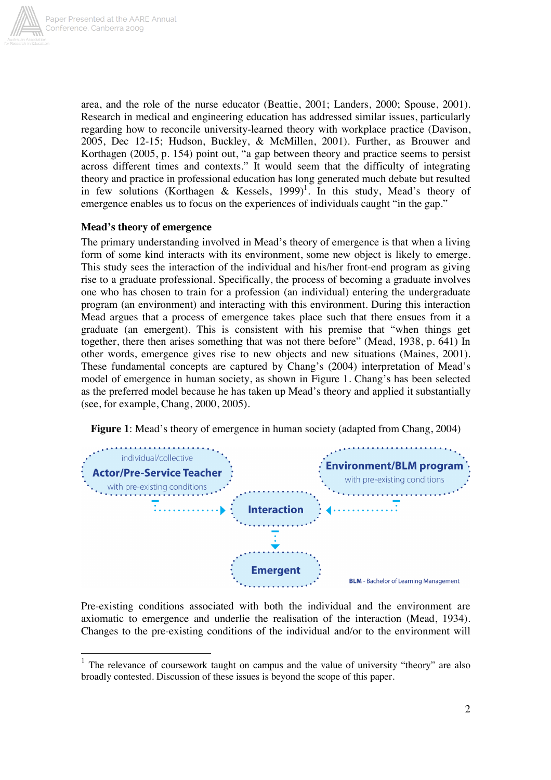

 $\overline{\phantom{a}}$ 

area, and the role of the nurse educator (Beattie, 2001; Landers, 2000; Spouse, 2001). Research in medical and engineering education has addressed similar issues, particularly regarding how to reconcile university-learned theory with workplace practice (Davison, 2005, Dec 12-15; Hudson, Buckley, & McMillen, 2001). Further, as Brouwer and Korthagen (2005, p. 154) point out, "a gap between theory and practice seems to persist across different times and contexts." It would seem that the difficulty of integrating theory and practice in professional education has long generated much debate but resulted in few solutions (Korthagen & Kessels, 1999)<sup>1</sup>. In this study, Mead's theory of emergence enables us to focus on the experiences of individuals caught "in the gap."

## **Mead's theory of emergence**

The primary understanding involved in Mead's theory of emergence is that when a living form of some kind interacts with its environment, some new object is likely to emerge. This study sees the interaction of the individual and his/her front-end program as giving rise to a graduate professional. Specifically, the process of becoming a graduate involves one who has chosen to train for a profession (an individual) entering the undergraduate program (an environment) and interacting with this environment. During this interaction Mead argues that a process of emergence takes place such that there ensues from it a graduate (an emergent). This is consistent with his premise that "when things get together, there then arises something that was not there before" (Mead, 1938, p. 641) In other words, emergence gives rise to new objects and new situations (Maines, 2001). These fundamental concepts are captured by Chang's (2004) interpretation of Mead's model of emergence in human society, as shown in Figure 1. Chang's has been selected as the preferred model because he has taken up Mead's theory and applied it substantially (see, for example, Chang, 2000, 2005).



**Figure 1**: Mead's theory of emergence in human society (adapted from Chang, 2004)

Pre-existing conditions associated with both the individual and the environment are axiomatic to emergence and underlie the realisation of the interaction (Mead, 1934). Changes to the pre-existing conditions of the individual and/or to the environment will

<sup>&</sup>lt;sup>1</sup> The relevance of coursework taught on campus and the value of university "theory" are also broadly contested. Discussion of these issues is beyond the scope of this paper.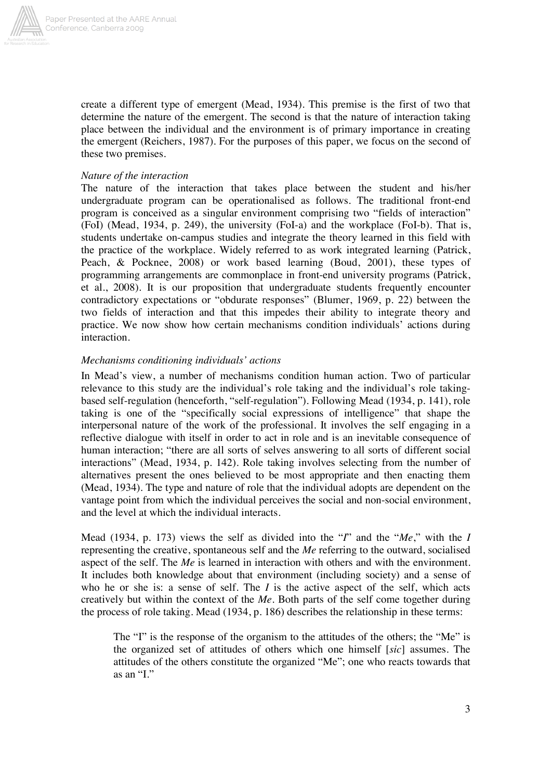

create a different type of emergent (Mead, 1934). This premise is the first of two that determine the nature of the emergent. The second is that the nature of interaction taking place between the individual and the environment is of primary importance in creating the emergent (Reichers, 1987). For the purposes of this paper, we focus on the second of these two premises.

## *Nature of the interaction*

The nature of the interaction that takes place between the student and his/her undergraduate program can be operationalised as follows. The traditional front-end program is conceived as a singular environment comprising two "fields of interaction" (FoI) (Mead, 1934, p. 249), the university (FoI-a) and the workplace (FoI-b). That is, students undertake on-campus studies and integrate the theory learned in this field with the practice of the workplace. Widely referred to as work integrated learning (Patrick, Peach, & Pocknee, 2008) or work based learning (Boud, 2001), these types of programming arrangements are commonplace in front-end university programs (Patrick, et al., 2008). It is our proposition that undergraduate students frequently encounter contradictory expectations or "obdurate responses" (Blumer, 1969, p. 22) between the two fields of interaction and that this impedes their ability to integrate theory and practice. We now show how certain mechanisms condition individuals' actions during interaction.

## *Mechanisms conditioning individuals' actions*

In Mead's view, a number of mechanisms condition human action. Two of particular relevance to this study are the individual's role taking and the individual's role takingbased self-regulation (henceforth, "self-regulation"). Following Mead (1934, p. 141), role taking is one of the "specifically social expressions of intelligence" that shape the interpersonal nature of the work of the professional. It involves the self engaging in a reflective dialogue with itself in order to act in role and is an inevitable consequence of human interaction; "there are all sorts of selves answering to all sorts of different social interactions" (Mead, 1934, p. 142). Role taking involves selecting from the number of alternatives present the ones believed to be most appropriate and then enacting them (Mead, 1934). The type and nature of role that the individual adopts are dependent on the vantage point from which the individual perceives the social and non-social environment, and the level at which the individual interacts.

Mead (1934, p. 173) views the self as divided into the "*I*" and the "*Me*," with the *I* representing the creative, spontaneous self and the *Me* referring to the outward, socialised aspect of the self. The *Me* is learned in interaction with others and with the environment. It includes both knowledge about that environment (including society) and a sense of who he or she is: a sense of self. The *I* is the active aspect of the self, which acts creatively but within the context of the *Me*. Both parts of the self come together during the process of role taking. Mead (1934, p. 186) describes the relationship in these terms:

The "I" is the response of the organism to the attitudes of the others; the "Me" is the organized set of attitudes of others which one himself [*sic*] assumes. The attitudes of the others constitute the organized "Me"; one who reacts towards that as an "I."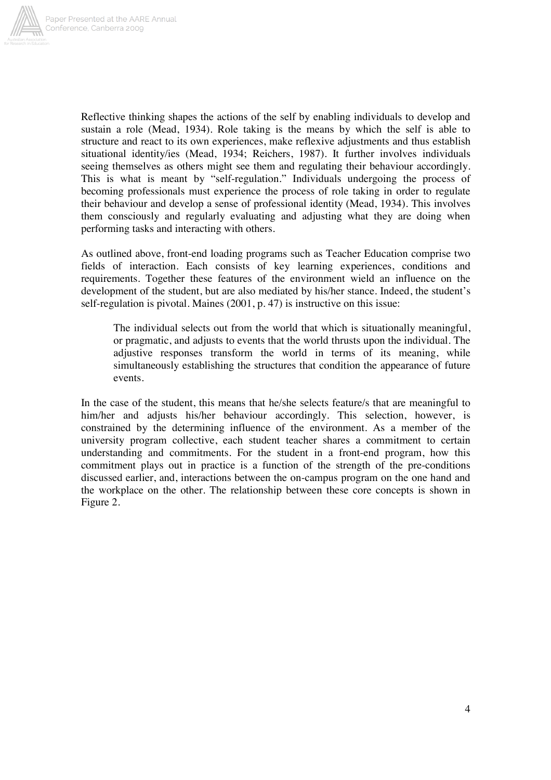

Reflective thinking shapes the actions of the self by enabling individuals to develop and sustain a role (Mead, 1934). Role taking is the means by which the self is able to structure and react to its own experiences, make reflexive adjustments and thus establish situational identity/ies (Mead, 1934; Reichers, 1987). It further involves individuals seeing themselves as others might see them and regulating their behaviour accordingly. This is what is meant by "self-regulation." Individuals undergoing the process of becoming professionals must experience the process of role taking in order to regulate their behaviour and develop a sense of professional identity (Mead, 1934). This involves them consciously and regularly evaluating and adjusting what they are doing when performing tasks and interacting with others.

As outlined above, front-end loading programs such as Teacher Education comprise two fields of interaction. Each consists of key learning experiences, conditions and requirements. Together these features of the environment wield an influence on the development of the student, but are also mediated by his/her stance. Indeed, the student's self-regulation is pivotal. Maines (2001, p. 47) is instructive on this issue:

The individual selects out from the world that which is situationally meaningful, or pragmatic, and adjusts to events that the world thrusts upon the individual. The adjustive responses transform the world in terms of its meaning, while simultaneously establishing the structures that condition the appearance of future events.

In the case of the student, this means that he/she selects feature/s that are meaningful to him/her and adjusts his/her behaviour accordingly. This selection, however, is constrained by the determining influence of the environment. As a member of the university program collective, each student teacher shares a commitment to certain understanding and commitments. For the student in a front-end program, how this commitment plays out in practice is a function of the strength of the pre-conditions discussed earlier, and, interactions between the on-campus program on the one hand and the workplace on the other. The relationship between these core concepts is shown in Figure 2.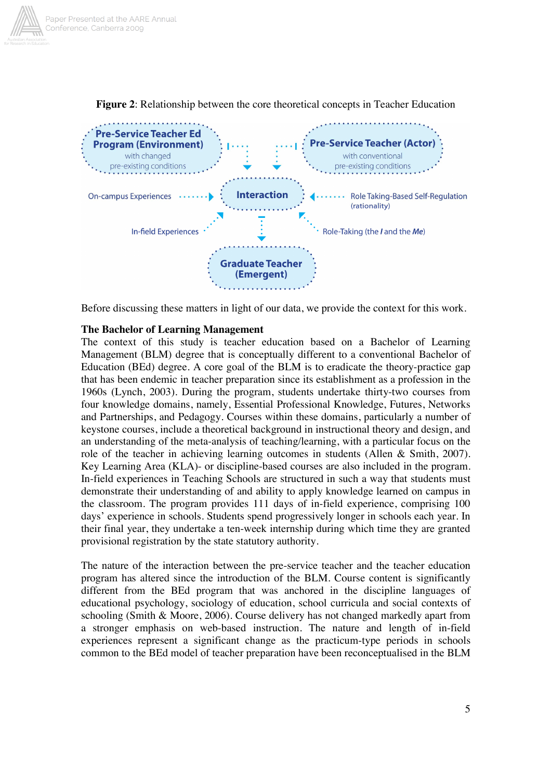



**Figure 2**: Relationship between the core theoretical concepts in Teacher Education

Before discussing these matters in light of our data, we provide the context for this work.

#### **The Bachelor of Learning Management**

The context of this study is teacher education based on a Bachelor of Learning Management (BLM) degree that is conceptually different to a conventional Bachelor of Education (BEd) degree. A core goal of the BLM is to eradicate the theory-practice gap that has been endemic in teacher preparation since its establishment as a profession in the 1960s (Lynch, 2003). During the program, students undertake thirty-two courses from four knowledge domains, namely, Essential Professional Knowledge, Futures, Networks and Partnerships, and Pedagogy. Courses within these domains, particularly a number of keystone courses, include a theoretical background in instructional theory and design, and an understanding of the meta-analysis of teaching/learning, with a particular focus on the role of the teacher in achieving learning outcomes in students (Allen & Smith, 2007). Key Learning Area (KLA)- or discipline-based courses are also included in the program. In-field experiences in Teaching Schools are structured in such a way that students must demonstrate their understanding of and ability to apply knowledge learned on campus in the classroom. The program provides 111 days of in-field experience, comprising 100 days' experience in schools. Students spend progressively longer in schools each year. In their final year, they undertake a ten-week internship during which time they are granted provisional registration by the state statutory authority.

The nature of the interaction between the pre-service teacher and the teacher education program has altered since the introduction of the BLM. Course content is significantly different from the BEd program that was anchored in the discipline languages of educational psychology, sociology of education, school curricula and social contexts of schooling (Smith & Moore, 2006). Course delivery has not changed markedly apart from a stronger emphasis on web-based instruction. The nature and length of in-field experiences represent a significant change as the practicum-type periods in schools common to the BEd model of teacher preparation have been reconceptualised in the BLM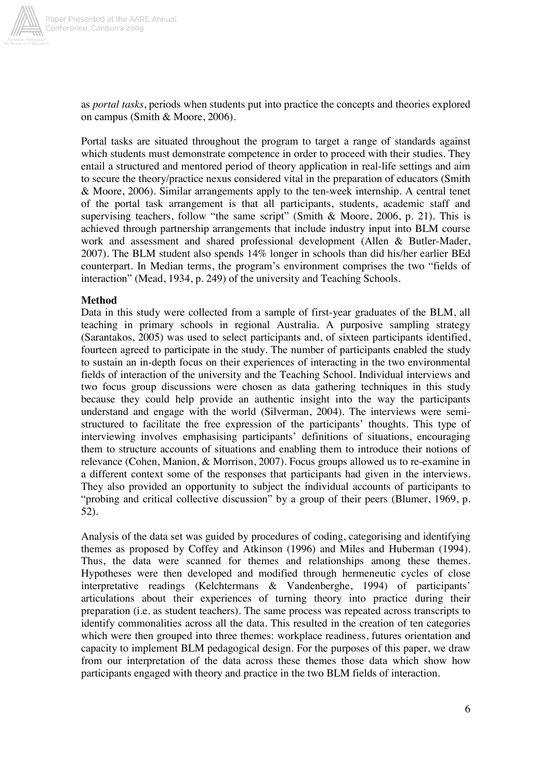

as *portal tasks*, periods when students put into practice the concepts and theories explored on campus (Smith & Moore, 2006).

Portal tasks are situated throughout the program to target a range of standards against which students must demonstrate competence in order to proceed with their studies. They entail a structured and mentored period of theory application in real-life settings and aim to secure the theory/practice nexus considered vital in the preparation of educators (Smith & Moore, 2006). Similar arrangements apply to the ten-week internship. A central tenet of the portal task arrangement is that all participants, students, academic staff and supervising teachers, follow "the same script" (Smith & Moore, 2006, p. 21). This is achieved through partnership arrangements that include industry input into BLM course work and assessment and shared professional development (Allen & Butler-Mader, 2007). The BLM student also spends 14% longer in schools than did his/her earlier BEd counterpart. In Median terms, the program's environment comprises the two "fields of interaction" (Mead, 1934, p. 249) of the university and Teaching Schools.

### **Method**

Data in this study were collected from a sample of first-year graduates of the BLM, all teaching in primary schools in regional Australia. A purposive sampling strategy (Sarantakos, 2005) was used to select participants and, of sixteen participants identified, fourteen agreed to participate in the study. The number of participants enabled the study to sustain an in-depth focus on their experiences of interacting in the two environmental fields of interaction of the university and the Teaching School. Individual interviews and two focus group discussions were chosen as data gathering techniques in this study because they could help provide an authentic insight into the way the participants understand and engage with the world (Silverman, 2004). The interviews were semistructured to facilitate the free expression of the participants' thoughts. This type of interviewing involves emphasising participants' definitions of situations, encouraging them to structure accounts of situations and enabling them to introduce their notions of relevance (Cohen, Manion, & Morrison, 2007). Focus groups allowed us to re-examine in a different context some of the responses that participants had given in the interviews. They also provided an opportunity to subject the individual accounts of participants to "probing and critical collective discussion" by a group of their peers (Blumer, 1969, p. 52).

Analysis of the data set was guided by procedures of coding, categorising and identifying themes as proposed by Coffey and Atkinson (1996) and Miles and Huberman (1994). Thus, the data were scanned for themes and relationships among these themes. Hypotheses were then developed and modified through hermeneutic cycles of close interpretative readings (Kelchtermans & Vandenberghe, 1994) of participants' articulations about their experiences of turning theory into practice during their preparation (i.e. as student teachers). The same process was repeated across transcripts to identify commonalities across all the data. This resulted in the creation of ten categories which were then grouped into three themes: workplace readiness, futures orientation and capacity to implement BLM pedagogical design. For the purposes of this paper, we draw from our interpretation of the data across these themes those data which show how participants engaged with theory and practice in the two BLM fields of interaction.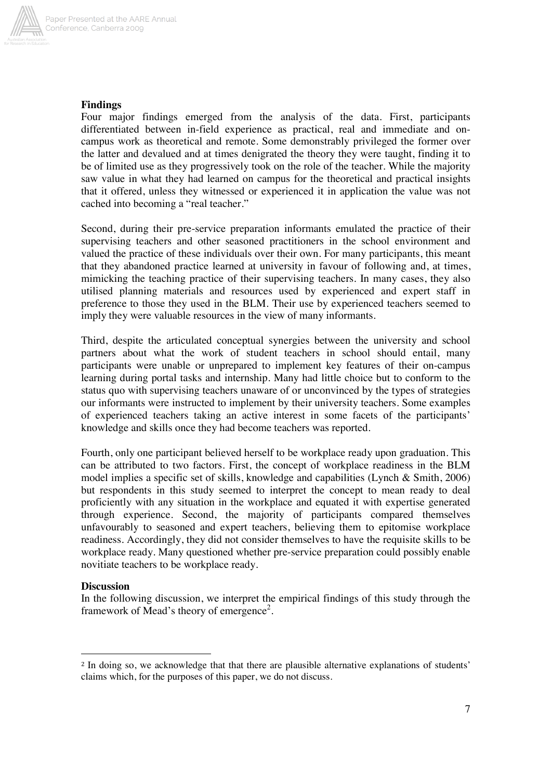

## **Findings**

Four major findings emerged from the analysis of the data. First, participants differentiated between in-field experience as practical, real and immediate and oncampus work as theoretical and remote. Some demonstrably privileged the former over the latter and devalued and at times denigrated the theory they were taught, finding it to be of limited use as they progressively took on the role of the teacher. While the majority saw value in what they had learned on campus for the theoretical and practical insights that it offered, unless they witnessed or experienced it in application the value was not cached into becoming a "real teacher."

Second, during their pre-service preparation informants emulated the practice of their supervising teachers and other seasoned practitioners in the school environment and valued the practice of these individuals over their own. For many participants, this meant that they abandoned practice learned at university in favour of following and, at times, mimicking the teaching practice of their supervising teachers. In many cases, they also utilised planning materials and resources used by experienced and expert staff in preference to those they used in the BLM. Their use by experienced teachers seemed to imply they were valuable resources in the view of many informants.

Third, despite the articulated conceptual synergies between the university and school partners about what the work of student teachers in school should entail, many participants were unable or unprepared to implement key features of their on-campus learning during portal tasks and internship. Many had little choice but to conform to the status quo with supervising teachers unaware of or unconvinced by the types of strategies our informants were instructed to implement by their university teachers. Some examples of experienced teachers taking an active interest in some facets of the participants' knowledge and skills once they had become teachers was reported.

Fourth, only one participant believed herself to be workplace ready upon graduation. This can be attributed to two factors. First, the concept of workplace readiness in the BLM model implies a specific set of skills, knowledge and capabilities (Lynch & Smith, 2006) but respondents in this study seemed to interpret the concept to mean ready to deal proficiently with any situation in the workplace and equated it with expertise generated through experience. Second, the majority of participants compared themselves unfavourably to seasoned and expert teachers, believing them to epitomise workplace readiness. Accordingly, they did not consider themselves to have the requisite skills to be workplace ready. Many questioned whether pre-service preparation could possibly enable novitiate teachers to be workplace ready.

## **Discussion**

In the following discussion, we interpret the empirical findings of this study through the framework of Mead's theory of emergence<sup>2</sup>.

<sup>-</sup><sup>2</sup> In doing so, we acknowledge that that there are plausible alternative explanations of students' claims which, for the purposes of this paper, we do not discuss.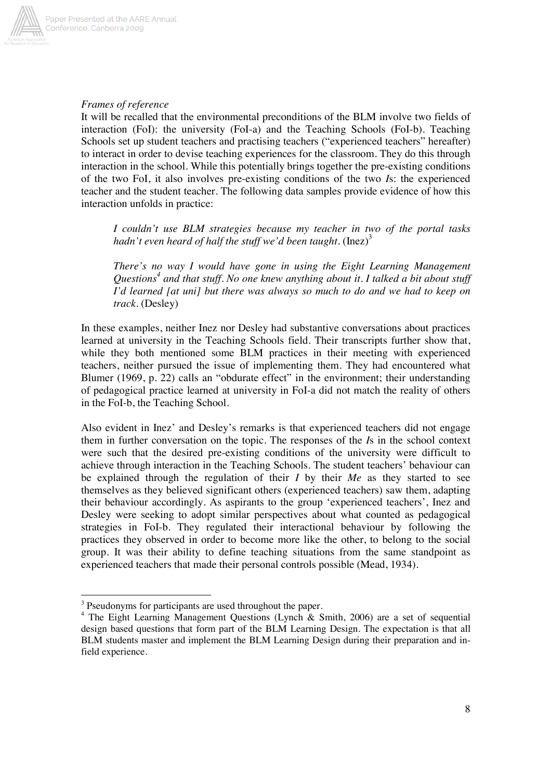

# *Frames of reference*

It will be recalled that the environmental preconditions of the BLM involve two fields of interaction (FoI): the university (FoI-a) and the Teaching Schools (FoI-b). Teaching Schools set up student teachers and practising teachers ("experienced teachers" hereafter) to interact in order to devise teaching experiences for the classroom. They do this through interaction in the school. While this potentially brings together the pre-existing conditions of the two FoI, it also involves pre-existing conditions of the two *I*s: the experienced teacher and the student teacher. The following data samples provide evidence of how this interaction unfolds in practice:

*I couldn't use BLM strategies because my teacher in two of the portal tasks hadn't even heard of half the stuff we'd been taught.* (Inez)<sup>3</sup>

*There's no way I would have gone in using the Eight Learning Management Questions<sup>4</sup> and that stuff. No one knew anything about it. I talked a bit about stuff I'd learned [at uni] but there was always so much to do and we had to keep on track.* (Desley)

In these examples, neither Inez nor Desley had substantive conversations about practices learned at university in the Teaching Schools field. Their transcripts further show that, while they both mentioned some BLM practices in their meeting with experienced teachers, neither pursued the issue of implementing them. They had encountered what Blumer (1969, p. 22) calls an "obdurate effect" in the environment; their understanding of pedagogical practice learned at university in FoI-a did not match the reality of others in the FoI-b, the Teaching School.

Also evident in Inez' and Desley's remarks is that experienced teachers did not engage them in further conversation on the topic. The responses of the *I*s in the school context were such that the desired pre-existing conditions of the university were difficult to achieve through interaction in the Teaching Schools. The student teachers' behaviour can be explained through the regulation of their *I* by their *Me* as they started to see themselves as they believed significant others (experienced teachers) saw them, adapting their behaviour accordingly. As aspirants to the group 'experienced teachers', Inez and Desley were seeking to adopt similar perspectives about what counted as pedagogical strategies in FoI-b. They regulated their interactional behaviour by following the practices they observed in order to become more like the other, to belong to the social group. It was their ability to define teaching situations from the same standpoint as experienced teachers that made their personal controls possible (Mead, 1934).

<sup>&</sup>lt;sup>3</sup> Pseudonyms for participants are used throughout the paper.

<sup>&</sup>lt;sup>4</sup> The Eight Learning Management Questions (Lynch & Smith, 2006) are a set of sequential design based questions that form part of the BLM Learning Design. The expectation is that all BLM students master and implement the BLM Learning Design during their preparation and infield experience.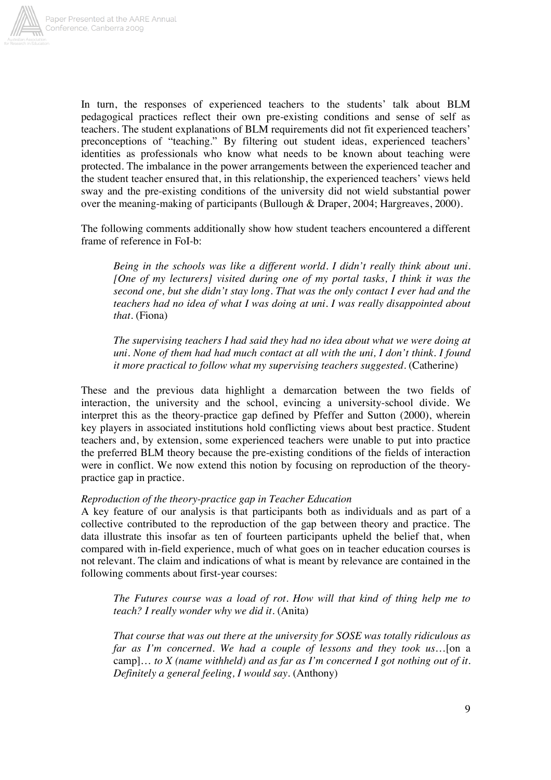

In turn, the responses of experienced teachers to the students' talk about BLM pedagogical practices reflect their own pre-existing conditions and sense of self as teachers. The student explanations of BLM requirements did not fit experienced teachers' preconceptions of "teaching." By filtering out student ideas, experienced teachers' identities as professionals who know what needs to be known about teaching were protected. The imbalance in the power arrangements between the experienced teacher and the student teacher ensured that, in this relationship, the experienced teachers' views held sway and the pre-existing conditions of the university did not wield substantial power over the meaning-making of participants (Bullough & Draper, 2004; Hargreaves, 2000).

The following comments additionally show how student teachers encountered a different frame of reference in FoI-b:

*Being in the schools was like a different world. I didn't really think about uni. [One of my lecturers] visited during one of my portal tasks, I think it was the second one, but she didn't stay long. That was the only contact I ever had and the teachers had no idea of what I was doing at uni. I was really disappointed about that.* (Fiona)

*The supervising teachers I had said they had no idea about what we were doing at uni. None of them had had much contact at all with the uni, I don't think. I found it more practical to follow what my supervising teachers suggested*. (Catherine)

These and the previous data highlight a demarcation between the two fields of interaction, the university and the school, evincing a university-school divide. We interpret this as the theory-practice gap defined by Pfeffer and Sutton (2000), wherein key players in associated institutions hold conflicting views about best practice. Student teachers and, by extension, some experienced teachers were unable to put into practice the preferred BLM theory because the pre-existing conditions of the fields of interaction were in conflict. We now extend this notion by focusing on reproduction of the theorypractice gap in practice.

#### *Reproduction of the theory-practice gap in Teacher Education*

A key feature of our analysis is that participants both as individuals and as part of a collective contributed to the reproduction of the gap between theory and practice. The data illustrate this insofar as ten of fourteen participants upheld the belief that, when compared with in-field experience, much of what goes on in teacher education courses is not relevant. The claim and indications of what is meant by relevance are contained in the following comments about first-year courses:

*The Futures course was a load of rot. How will that kind of thing help me to teach? I really wonder why we did it.* (Anita)

*That course that was out there at the university for SOSE was totally ridiculous as far as I'm concerned. We had a couple of lessons and they took us*…[on a camp]… *to X (name withheld) and as far as I'm concerned I got nothing out of it. Definitely a general feeling, I would say.* (Anthony)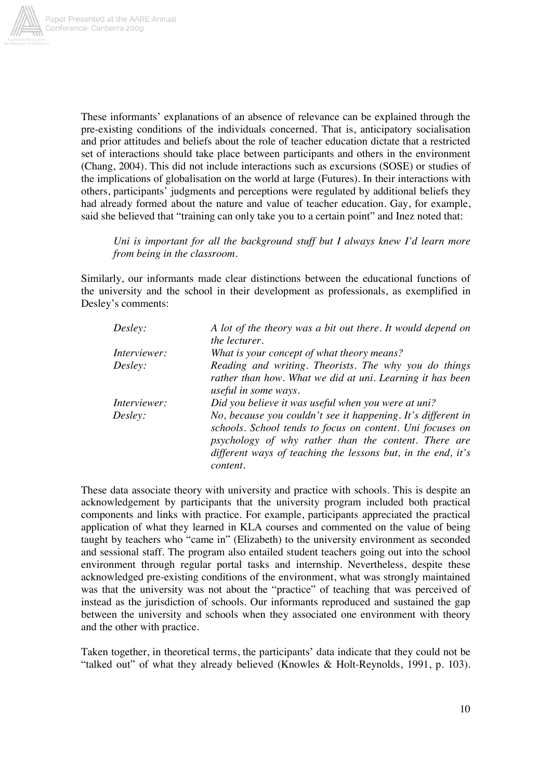

These informants' explanations of an absence of relevance can be explained through the pre-existing conditions of the individuals concerned. That is, anticipatory socialisation and prior attitudes and beliefs about the role of teacher education dictate that a restricted set of interactions should take place between participants and others in the environment (Chang, 2004). This did not include interactions such as excursions (SOSE) or studies of the implications of globalisation on the world at large (Futures). In their interactions with others, participants' judgments and perceptions were regulated by additional beliefs they had already formed about the nature and value of teacher education. Gay, for example, said she believed that "training can only take you to a certain point" and Inez noted that:

*Uni is important for all the background stuff but I always knew I'd learn more from being in the classroom*.

Similarly, our informants made clear distinctions between the educational functions of the university and the school in their development as professionals, as exemplified in Desley's comments:

| Desley:      | A lot of the theory was a bit out there. It would depend on                                                                                                                                                                                       |
|--------------|---------------------------------------------------------------------------------------------------------------------------------------------------------------------------------------------------------------------------------------------------|
|              | the lecturer.                                                                                                                                                                                                                                     |
| Interviewer: | What is your concept of what theory means?                                                                                                                                                                                                        |
| Desley:      | Reading and writing. Theorists. The why you do things                                                                                                                                                                                             |
|              | rather than how. What we did at uni. Learning it has been<br><i>useful in some ways.</i>                                                                                                                                                          |
| Interviewer: | Did you believe it was useful when you were at uni?                                                                                                                                                                                               |
| Desley:      | No, because you couldn't see it happening. It's different in<br>schools. School tends to focus on content. Uni focuses on<br>psychology of why rather than the content. There are<br>different ways of teaching the lessons but, in the end, it's |
|              | content.                                                                                                                                                                                                                                          |

These data associate theory with university and practice with schools. This is despite an acknowledgement by participants that the university program included both practical components and links with practice. For example, participants appreciated the practical application of what they learned in KLA courses and commented on the value of being taught by teachers who "came in" (Elizabeth) to the university environment as seconded and sessional staff. The program also entailed student teachers going out into the school environment through regular portal tasks and internship. Nevertheless, despite these acknowledged pre-existing conditions of the environment, what was strongly maintained was that the university was not about the "practice" of teaching that was perceived of instead as the jurisdiction of schools. Our informants reproduced and sustained the gap between the university and schools when they associated one environment with theory and the other with practice.

Taken together, in theoretical terms, the participants' data indicate that they could not be "talked out" of what they already believed (Knowles & Holt-Reynolds, 1991, p. 103).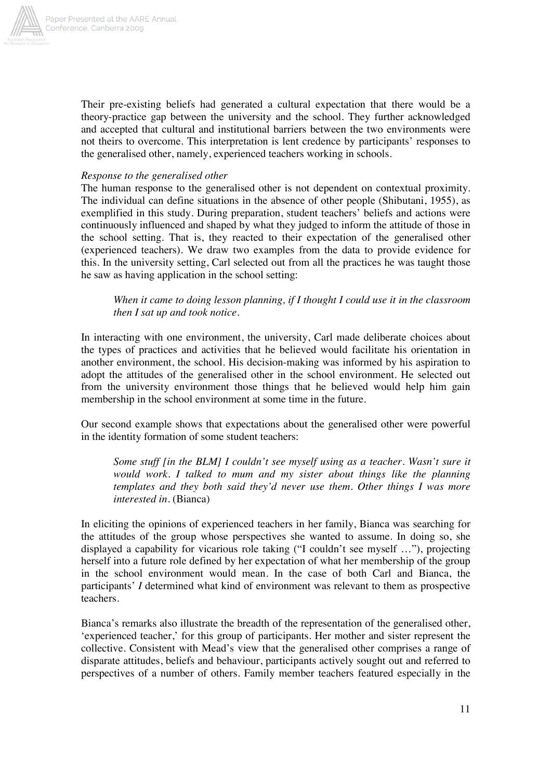

Their pre-existing beliefs had generated a cultural expectation that there would be a theory-practice gap between the university and the school. They further acknowledged and accepted that cultural and institutional barriers between the two environments were not theirs to overcome. This interpretation is lent credence by participants' responses to the generalised other, namely, experienced teachers working in schools.

## *Response to the generalised other*

The human response to the generalised other is not dependent on contextual proximity. The individual can define situations in the absence of other people (Shibutani, 1955), as exemplified in this study. During preparation, student teachers' beliefs and actions were continuously influenced and shaped by what they judged to inform the attitude of those in the school setting. That is, they reacted to their expectation of the generalised other (experienced teachers). We draw two examples from the data to provide evidence for this. In the university setting, Carl selected out from all the practices he was taught those he saw as having application in the school setting:

*When it came to doing lesson planning, if I thought I could use it in the classroom then I sat up and took notice.* 

In interacting with one environment, the university, Carl made deliberate choices about the types of practices and activities that he believed would facilitate his orientation in another environment, the school. His decision-making was informed by his aspiration to adopt the attitudes of the generalised other in the school environment. He selected out from the university environment those things that he believed would help him gain membership in the school environment at some time in the future.

Our second example shows that expectations about the generalised other were powerful in the identity formation of some student teachers:

*Some stuff [in the BLM] I couldn't see myself using as a teacher. Wasn't sure it would work. I talked to mum and my sister about things like the planning templates and they both said they'd never use them. Other things I was more interested in.* (Bianca)

In eliciting the opinions of experienced teachers in her family, Bianca was searching for the attitudes of the group whose perspectives she wanted to assume. In doing so, she displayed a capability for vicarious role taking ("I couldn't see myself …"), projecting herself into a future role defined by her expectation of what her membership of the group in the school environment would mean. In the case of both Carl and Bianca, the participants' *I* determined what kind of environment was relevant to them as prospective teachers.

Bianca's remarks also illustrate the breadth of the representation of the generalised other, 'experienced teacher,' for this group of participants. Her mother and sister represent the collective. Consistent with Mead's view that the generalised other comprises a range of disparate attitudes, beliefs and behaviour, participants actively sought out and referred to perspectives of a number of others. Family member teachers featured especially in the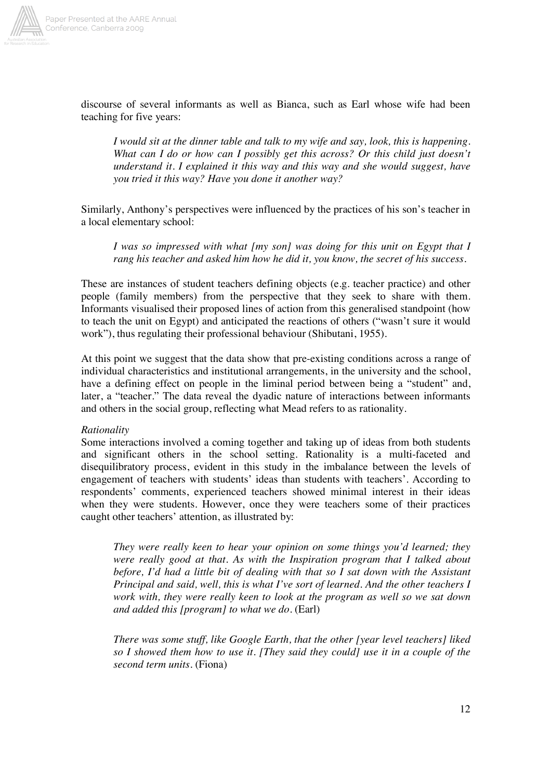

discourse of several informants as well as Bianca, such as Earl whose wife had been teaching for five years:

*I would sit at the dinner table and talk to my wife and say, look, this is happening. What can I do or how can I possibly get this across? Or this child just doesn't understand it. I explained it this way and this way and she would suggest, have you tried it this way? Have you done it another way?* 

Similarly, Anthony's perspectives were influenced by the practices of his son's teacher in a local elementary school:

*I was so impressed with what [my son] was doing for this unit on Egypt that I rang his teacher and asked him how he did it, you know, the secret of his success.* 

These are instances of student teachers defining objects (e.g. teacher practice) and other people (family members) from the perspective that they seek to share with them. Informants visualised their proposed lines of action from this generalised standpoint (how to teach the unit on Egypt) and anticipated the reactions of others ("wasn't sure it would work"), thus regulating their professional behaviour (Shibutani, 1955).

At this point we suggest that the data show that pre-existing conditions across a range of individual characteristics and institutional arrangements, in the university and the school, have a defining effect on people in the liminal period between being a "student" and, later, a "teacher." The data reveal the dyadic nature of interactions between informants and others in the social group, reflecting what Mead refers to as rationality.

## *Rationality*

Some interactions involved a coming together and taking up of ideas from both students and significant others in the school setting. Rationality is a multi-faceted and disequilibratory process, evident in this study in the imbalance between the levels of engagement of teachers with students' ideas than students with teachers'. According to respondents' comments, experienced teachers showed minimal interest in their ideas when they were students. However, once they were teachers some of their practices caught other teachers' attention, as illustrated by:

*They were really keen to hear your opinion on some things you'd learned; they were really good at that. As with the Inspiration program that I talked about before, I'd had a little bit of dealing with that so I sat down with the Assistant Principal and said, well, this is what I've sort of learned. And the other teachers I work with, they were really keen to look at the program as well so we sat down and added this [program] to what we do*. (Earl)

*There was some stuff, like Google Earth, that the other [year level teachers] liked so I showed them how to use it. [They said they could] use it in a couple of the second term units.* (Fiona)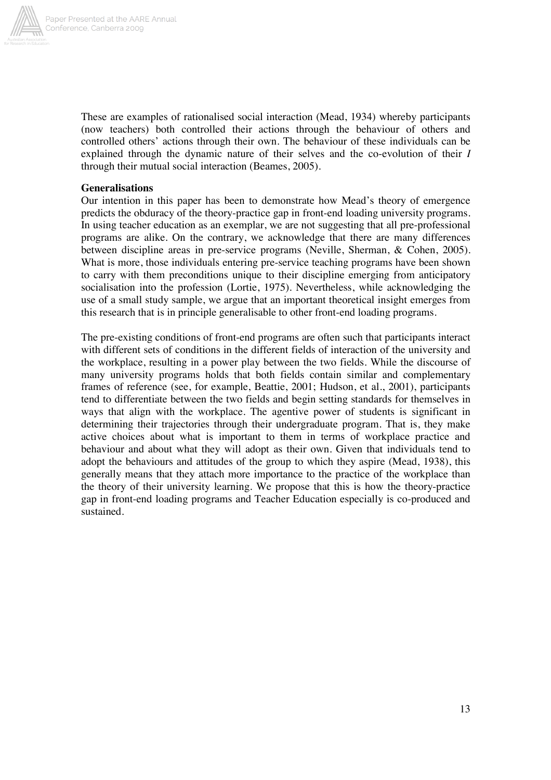

These are examples of rationalised social interaction (Mead, 1934) whereby participants (now teachers) both controlled their actions through the behaviour of others and controlled others' actions through their own. The behaviour of these individuals can be explained through the dynamic nature of their selves and the co-evolution of their *I* through their mutual social interaction (Beames, 2005).

### **Generalisations**

Our intention in this paper has been to demonstrate how Mead's theory of emergence predicts the obduracy of the theory-practice gap in front-end loading university programs. In using teacher education as an exemplar, we are not suggesting that all pre-professional programs are alike. On the contrary, we acknowledge that there are many differences between discipline areas in pre-service programs (Neville, Sherman, & Cohen, 2005). What is more, those individuals entering pre-service teaching programs have been shown to carry with them preconditions unique to their discipline emerging from anticipatory socialisation into the profession (Lortie, 1975). Nevertheless, while acknowledging the use of a small study sample, we argue that an important theoretical insight emerges from this research that is in principle generalisable to other front-end loading programs.

The pre-existing conditions of front-end programs are often such that participants interact with different sets of conditions in the different fields of interaction of the university and the workplace, resulting in a power play between the two fields. While the discourse of many university programs holds that both fields contain similar and complementary frames of reference (see, for example, Beattie, 2001; Hudson, et al., 2001), participants tend to differentiate between the two fields and begin setting standards for themselves in ways that align with the workplace. The agentive power of students is significant in determining their trajectories through their undergraduate program. That is, they make active choices about what is important to them in terms of workplace practice and behaviour and about what they will adopt as their own. Given that individuals tend to adopt the behaviours and attitudes of the group to which they aspire (Mead, 1938), this generally means that they attach more importance to the practice of the workplace than the theory of their university learning. We propose that this is how the theory-practice gap in front-end loading programs and Teacher Education especially is co-produced and sustained.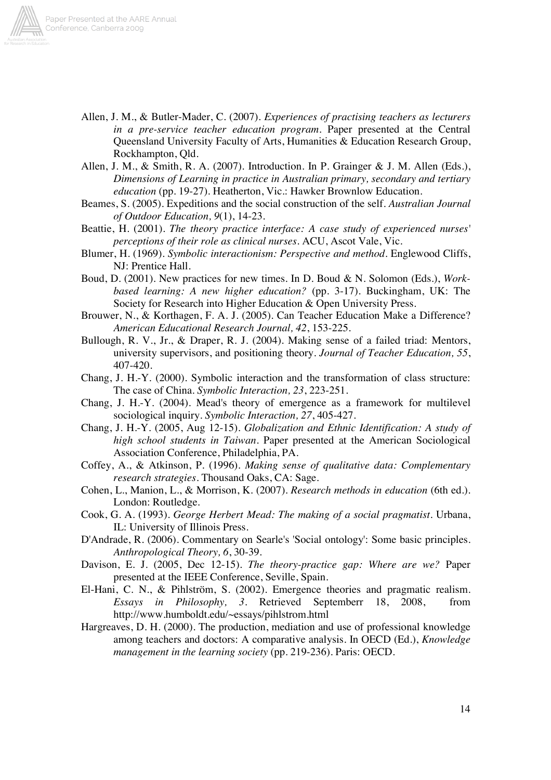

- Allen, J. M., & Butler-Mader, C. (2007). *Experiences of practising teachers as lecturers in a pre-service teacher education program.* Paper presented at the Central Queensland University Faculty of Arts, Humanities & Education Research Group, Rockhampton, Qld.
- Allen, J. M., & Smith, R. A. (2007). Introduction. In P. Grainger & J. M. Allen (Eds.), *Dimensions of Learning in practice in Australian primary, secondary and tertiary education* (pp. 19-27). Heatherton, Vic.: Hawker Brownlow Education.
- Beames, S. (2005). Expeditions and the social construction of the self. *Australian Journal of Outdoor Education, 9*(1), 14-23.
- Beattie, H. (2001). *The theory practice interface: A case study of experienced nurses' perceptions of their role as clinical nurses.* ACU, Ascot Vale, Vic.
- Blumer, H. (1969). *Symbolic interactionism: Perspective and method*. Englewood Cliffs, NJ: Prentice Hall.
- Boud, D. (2001). New practices for new times. In D. Boud & N. Solomon (Eds.), *Workbased learning: A new higher education?* (pp. 3-17). Buckingham, UK: The Society for Research into Higher Education & Open University Press.
- Brouwer, N., & Korthagen, F. A. J. (2005). Can Teacher Education Make a Difference? *American Educational Research Journal, 42*, 153-225.
- Bullough, R. V., Jr., & Draper, R. J. (2004). Making sense of a failed triad: Mentors, university supervisors, and positioning theory. *Journal of Teacher Education, 55*, 407-420.
- Chang, J. H.-Y. (2000). Symbolic interaction and the transformation of class structure: The case of China. *Symbolic Interaction, 23*, 223-251.
- Chang, J. H.-Y. (2004). Mead's theory of emergence as a framework for multilevel sociological inquiry. *Symbolic Interaction, 27*, 405-427.
- Chang, J. H.-Y. (2005, Aug 12-15). *Globalization and Ethnic Identification: A study of high school students in Taiwan.* Paper presented at the American Sociological Association Conference, Philadelphia, PA.
- Coffey, A., & Atkinson, P. (1996). *Making sense of qualitative data: Complementary research strategies*. Thousand Oaks, CA: Sage.
- Cohen, L., Manion, L., & Morrison, K. (2007). *Research methods in education* (6th ed.). London: Routledge.
- Cook, G. A. (1993). *George Herbert Mead: The making of a social pragmatist*. Urbana, IL: University of Illinois Press.
- D'Andrade, R. (2006). Commentary on Searle's 'Social ontology': Some basic principles. *Anthropological Theory, 6*, 30-39.
- Davison, E. J. (2005, Dec 12-15). *The theory-practice gap: Where are we?* Paper presented at the IEEE Conference, Seville, Spain.
- El-Hani, C. N., & Pihlström, S. (2002). Emergence theories and pragmatic realism. *Essays in Philosophy, 3*. Retrieved Septemberr 18, 2008, from http://www.humboldt.edu/~essays/pihlstrom.html
- Hargreaves, D. H. (2000). The production, mediation and use of professional knowledge among teachers and doctors: A comparative analysis. In OECD (Ed.), *Knowledge management in the learning society* (pp. 219-236). Paris: OECD.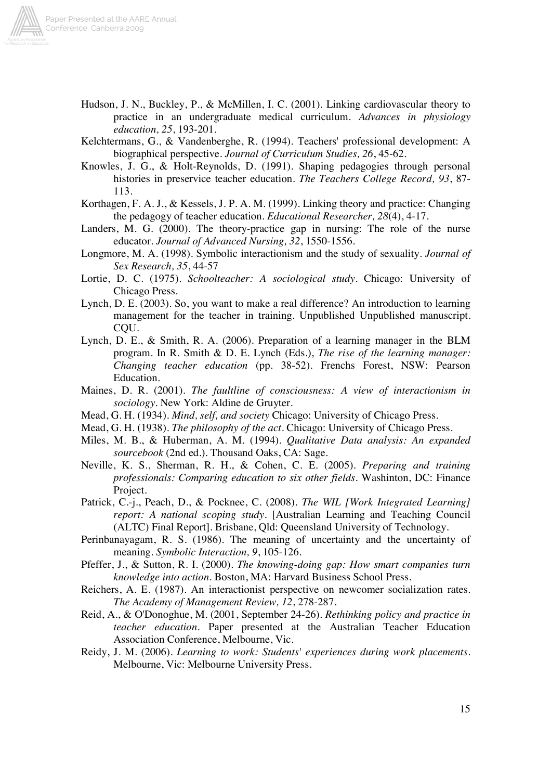

- Hudson, J. N., Buckley, P., & McMillen, I. C. (2001). Linking cardiovascular theory to practice in an undergraduate medical curriculum. *Advances in physiology education, 25*, 193-201.
- Kelchtermans, G., & Vandenberghe, R. (1994). Teachers' professional development: A biographical perspective. *Journal of Curriculum Studies, 26*, 45-62.
- Knowles, J. G., & Holt-Reynolds, D. (1991). Shaping pedagogies through personal histories in preservice teacher education. *The Teachers College Record, 93*, 87- 113.
- Korthagen, F. A. J., & Kessels, J. P. A. M. (1999). Linking theory and practice: Changing the pedagogy of teacher education. *Educational Researcher, 28*(4), 4-17.
- Landers, M. G. (2000). The theory-practice gap in nursing: The role of the nurse educator. *Journal of Advanced Nursing, 32*, 1550-1556.
- Longmore, M. A. (1998). Symbolic interactionism and the study of sexuality. *Journal of Sex Research, 35*, 44-57
- Lortie, D. C. (1975). *Schoolteacher: A sociological study*. Chicago: University of Chicago Press.
- Lynch, D. E. (2003). So, you want to make a real difference? An introduction to learning management for the teacher in training. Unpublished Unpublished manuscript. CQU.
- Lynch, D. E., & Smith, R. A. (2006). Preparation of a learning manager in the BLM program. In R. Smith & D. E. Lynch (Eds.), *The rise of the learning manager: Changing teacher education* (pp. 38-52). Frenchs Forest, NSW: Pearson Education.
- Maines, D. R. (2001). *The faultline of consciousness: A view of interactionism in sociology*. New York: Aldine de Gruyter.
- Mead, G. H. (1934). *Mind, self, and society* Chicago: University of Chicago Press.
- Mead, G. H. (1938). *The philosophy of the act*. Chicago: University of Chicago Press.
- Miles, M. B., & Huberman, A. M. (1994). *Qualitative Data analysis: An expanded sourcebook* (2nd ed.). Thousand Oaks, CA: Sage.
- Neville, K. S., Sherman, R. H., & Cohen, C. E. (2005). *Preparing and training professionals: Comparing education to six other fields*. Washinton, DC: Finance Project.
- Patrick, C.-j., Peach, D., & Pocknee, C. (2008). *The WIL [Work Integrated Learning] report: A national scoping study*. [Australian Learning and Teaching Council (ALTC) Final Report]. Brisbane, Qld: Queensland University of Technology.
- Perinbanayagam, R. S. (1986). The meaning of uncertainty and the uncertainty of meaning. *Symbolic Interaction, 9*, 105-126.
- Pfeffer, J., & Sutton, R. I. (2000). *The knowing-doing gap: How smart companies turn knowledge into action*. Boston, MA: Harvard Business School Press.
- Reichers, A. E. (1987). An interactionist perspective on newcomer socialization rates. *The Academy of Management Review, 12*, 278-287.
- Reid, A., & O'Donoghue, M. (2001, September 24-26). *Rethinking policy and practice in teacher education.* Paper presented at the Australian Teacher Education Association Conference, Melbourne, Vic.
- Reidy, J. M. (2006). *Learning to work: Students' experiences during work placements*. Melbourne, Vic: Melbourne University Press.